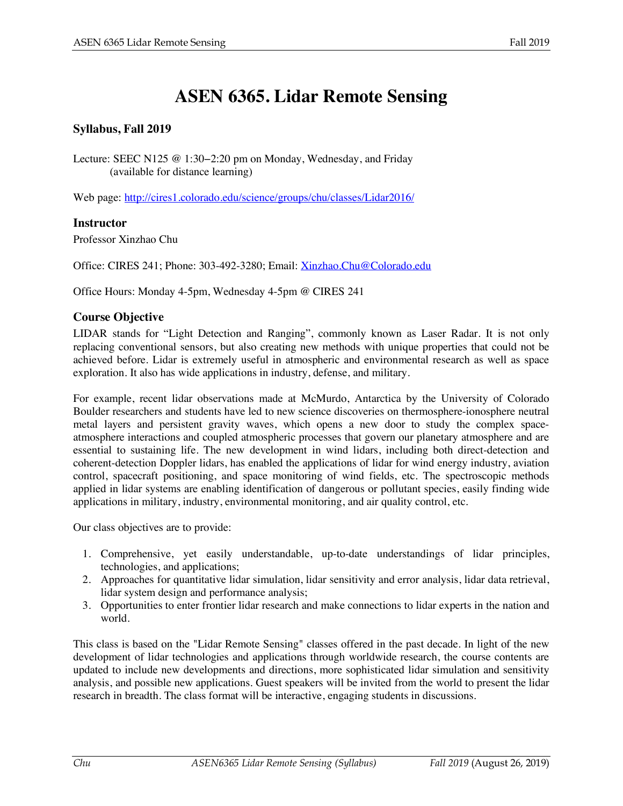# **ASEN 6365. Lidar Remote Sensing**

## **Syllabus, Fall 2019**

Lecture: SEEC N125 @ 1:30−2:20 pm on Monday, Wednesday, and Friday (available for distance learning)

Web page: http://cires1.colorado.edu/science/groups/chu/classes/Lidar2016/

#### **Instructor**

Professor Xinzhao Chu

Office: CIRES 241; Phone: 303-492-3280; Email: Xinzhao.Chu@Colorado.edu

Office Hours: Monday 4-5pm, Wednesday 4-5pm @ CIRES 241

#### **Course Objective**

LIDAR stands for "Light Detection and Ranging", commonly known as Laser Radar. It is not only replacing conventional sensors, but also creating new methods with unique properties that could not be achieved before. Lidar is extremely useful in atmospheric and environmental research as well as space exploration. It also has wide applications in industry, defense, and military.

For example, recent lidar observations made at McMurdo, Antarctica by the University of Colorado Boulder researchers and students have led to new science discoveries on thermosphere-ionosphere neutral metal layers and persistent gravity waves, which opens a new door to study the complex spaceatmosphere interactions and coupled atmospheric processes that govern our planetary atmosphere and are essential to sustaining life. The new development in wind lidars, including both direct-detection and coherent-detection Doppler lidars, has enabled the applications of lidar for wind energy industry, aviation control, spacecraft positioning, and space monitoring of wind fields, etc. The spectroscopic methods applied in lidar systems are enabling identification of dangerous or pollutant species, easily finding wide applications in military, industry, environmental monitoring, and air quality control, etc.

Our class objectives are to provide:

- 1. Comprehensive, yet easily understandable, up-to-date understandings of lidar principles, technologies, and applications;
- 2. Approaches for quantitative lidar simulation, lidar sensitivity and error analysis, lidar data retrieval, lidar system design and performance analysis;
- 3. Opportunities to enter frontier lidar research and make connections to lidar experts in the nation and world.

This class is based on the "Lidar Remote Sensing" classes offered in the past decade. In light of the new development of lidar technologies and applications through worldwide research, the course contents are updated to include new developments and directions, more sophisticated lidar simulation and sensitivity analysis, and possible new applications. Guest speakers will be invited from the world to present the lidar research in breadth. The class format will be interactive, engaging students in discussions.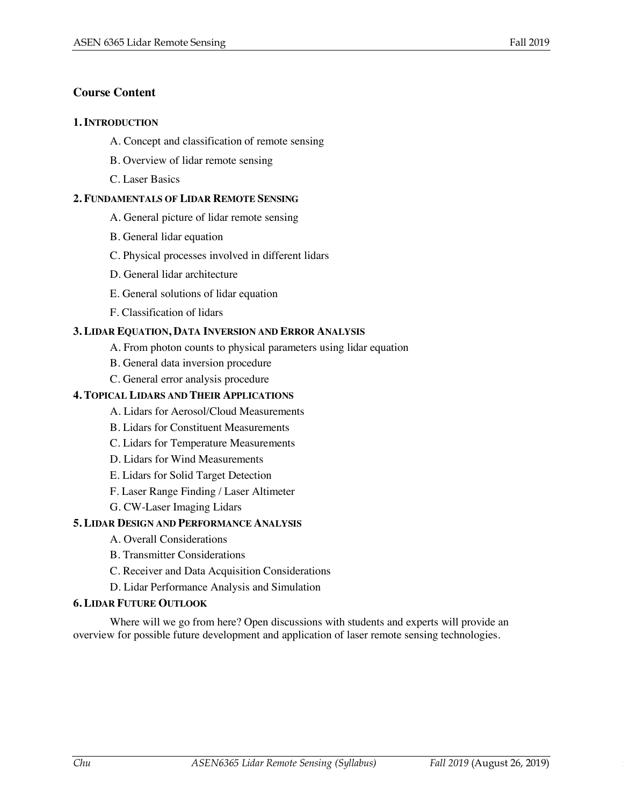## **Course Content**

#### **1. INTRODUCTION**

- A. Concept and classification of remote sensing
- B. Overview of lidar remote sensing
- C. Laser Basics

#### **2. FUNDAMENTALS OF LIDAR REMOTE SENSING**

- A. General picture of lidar remote sensing
- B. General lidar equation
- C. Physical processes involved in different lidars
- D. General lidar architecture
- E. General solutions of lidar equation
- F. Classification of lidars

#### **3. LIDAR EQUATION, DATA INVERSION AND ERROR ANALYSIS**

- A. From photon counts to physical parameters using lidar equation
- B. General data inversion procedure
- C. General error analysis procedure

#### **4. TOPICAL LIDARS AND THEIR APPLICATIONS**

- A. Lidars for Aerosol/Cloud Measurements
- B. Lidars for Constituent Measurements
- C. Lidars for Temperature Measurements
- D. Lidars for Wind Measurements
- E. Lidars for Solid Target Detection
- F. Laser Range Finding / Laser Altimeter
- G. CW-Laser Imaging Lidars

#### **5. LIDAR DESIGN AND PERFORMANCE ANALYSIS**

- A. Overall Considerations
- B. Transmitter Considerations
- C. Receiver and Data Acquisition Considerations
- D. Lidar Performance Analysis and Simulation

#### **6. LIDAR FUTURE OUTLOOK**

Where will we go from here? Open discussions with students and experts will provide an overview for possible future development and application of laser remote sensing technologies.